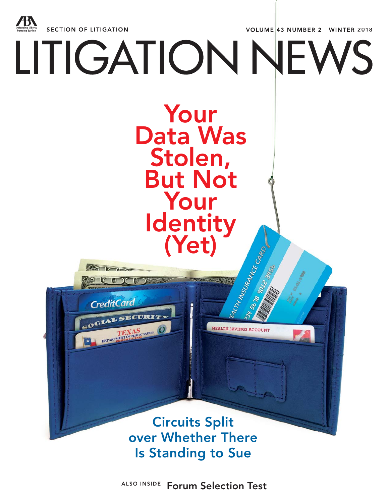

**ALSO INSIDE Forum Selection Test**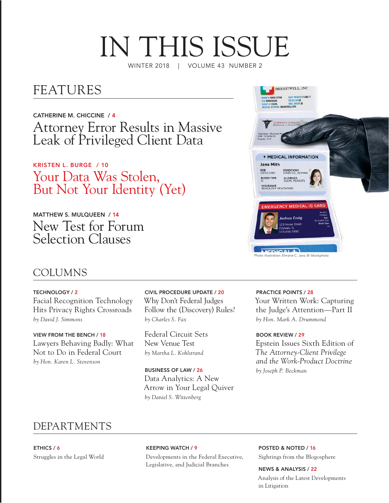# IN THIS ISSUE

WINTER 2018 | VOLUME 43 NUMBER 2

## FEATURES

**CATHERINE M. CHICCINE / 4** Attorney Error Results in Massive Leak of Privileged Client Data

**KRISTEN L. BURGE / 10**  Your Data Was Stolen, But Not Your Identity (Yet)

**MATTHEW S. MULQUEEN / 14** New Test for Forum Selection Clauses



### COLUMNS

**TECHNOLOGY / 2** Facial Recognition Technology Hits Privacy Rights Crossroads *by David J. Simmons*

**VIEW FROM THE BENCH / 18** Lawyers Behaving Badly: What Not to Do in Federal Court *by Hon. Karen L. Stevenson*

**CIVIL PROCEDURE UPDATE / 20** Why Don't Federal Judges Follow the (Discovery) Rules? *by Charles S. Fax*

Federal Circuit Sets New Venue Test *by Martha L. Kohlstrand*

**BUSINESS OF LAW / 26** Data Analytics: A New Arrow in Your Legal Quiver *by Daniel S. Wittenberg*

#### **PRACTICE POINTS / 28**

Your Written Work: Capturing the Judge's Attention—Part II *by Hon. Mark A. Drummond*

**BOOK REVIEW / 29** Epstein Issues Sixth Edition of *The Attorney-Client Privilege and the Work-Product Doctrine by Joseph P. Beckman*

### DEPARTMENTS

**ETHICS / 6** Struggles in the Legal World **KEEPING WATCH / 9**

Developments in the Federal Executive, Legislative, and Judicial Branches

**POSTED & NOTED / 16** Sightings from the Blogosphere

**NEWS & ANALYSIS / 22** Analysis of the Latest Developments in Litigation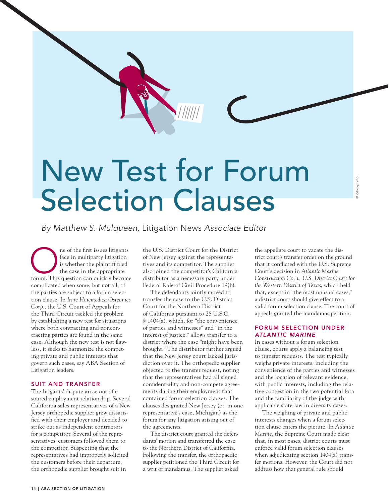## New Test for Forum Selection Clauses

By Matthew S. Mulqueen, Litigation News Associate Editor

**ONE ONE ONE SERVIE RESERVIER 1999 SERVIER SERVIER SERVIER SERVIER SERVIER SERVIER SERVIER SERVIER SERVIER SERVIER SERVIER SERVIER SERVIER SERVIER SERVIER SERVIER SERVIER SERVIER SERVIER SERVIER SERVIER SERVIER SERVIER SER** face in multiparty litigation is whether the plaintiff filed the case in the appropriate complicated when some, but not all, of the parties are subject to a forum selection clause. In *In re Howmedica Osteonics Corp.*, the U.S. Court of Appeals for the Third Circuit tackled the problem by establishing a new test for situations where both contracting and noncontracting parties are found in the same case. Although the new test is not flawless, it seeks to harmonize the competing private and public interests that govern such cases, say ABA Section of Litigation leaders.

#### **SUIT AND TRANSFER**

The litigants' dispute arose out of a soured employment relationship. Several California sales representatives of a New Jersey orthopedic supplier grew dissatisfied with their employer and decided to strike out as independent contractors for a competitor. Several of the representatives' customers followed them to the competitor. Suspecting that the representatives had improperly solicited the customers before their departure, the orthopedic supplier brought suit in

the U.S. District Court for the District of New Jersey against the representatives and its competitor. The supplier also joined the competitor's California distributor as a necessary party under Federal Rule of Civil Procedure 19(b).

The defendants jointly moved to transfer the case to the U.S. District Court for the Northern District of California pursuant to 28 U.S.C. § 1404(a), which, for "the convenience of parties and witnesses" and "in the interest of justice," allows transfer to a district where the case "might have been brought." The distributor further argued that the New Jersey court lacked jurisdiction over it. The orthopedic supplier objected to the transfer request, noting that the representatives had all signed confidentiality and non-compete agreements during their employment that contained forum selection clauses. The clauses designated New Jersey (or, in one representative's case, Michigan) as the forum for any litigation arising out of the agreements.

The district court granted the defendants' motion and transferred the case to the Northern District of California. Following the transfer, the orthopaedic supplier petitioned the Third Circuit for a writ of mandamus. The supplier asked

the appellate court to vacate the district court's transfer order on the ground that it conflicted with the U.S. Supreme Court's decision in *Atlantic Marine Construction Co. v. U.S. District Court for the Western District of Texas*, which held that, except in "the most unusual cases," a district court should give effect to a valid forum selection clause. The court of appeals granted the mandamus petition.

#### **FORUM SELECTION UNDER**  *ATLANTIC MARINE*

In cases without a forum selection clause, courts apply a balancing test to transfer requests. The test typically weighs private interests, including the convenience of the parties and witnesses and the location of relevant evidence, with public interests, including the relative congestion in the two potential fora and the familiarity of the judge with applicable state law in diversity cases.

The weighing of private and public interests changes when a forum selection clause enters the picture. In *Atlantic Marine*, the Supreme Court made clear that, in most cases, district courts must enforce valid forum selection clauses when adjudicating section 1404(a) transfer motions. However, the Court did not address how that general rule should